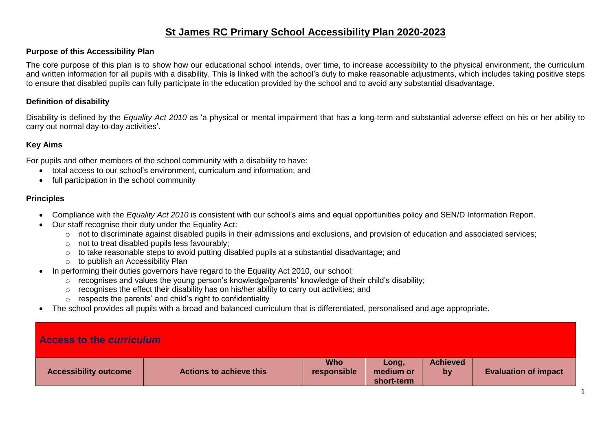### **St James RC Primary School Accessibility Plan 2020-2023**

#### **Purpose of this Accessibility Plan**

The core purpose of this plan is to show how our educational school intends, over time, to increase accessibility to the physical environment, the curriculum and written information for all pupils with a disability. This is linked with the school's duty to make reasonable adjustments, which includes taking positive steps to ensure that disabled pupils can fully participate in the education provided by the school and to avoid any substantial disadvantage.

#### **Definition of disability**

Disability is defined by the *Equality Act 2010* as 'a physical or mental impairment that has a long-term and substantial adverse effect on his or her ability to carry out normal day-to-day activities'.

#### **Key Aims**

For pupils and other members of the school community with a disability to have:

- total access to our school's environment, curriculum and information; and
- full participation in the school community

#### **Principles**

- Compliance with the *Equality Act 2010* is consistent with our school's aims and equal opportunities policy and SEN/D Information Report.
- Our staff recognise their duty under the Equality Act:
	- o not to discriminate against disabled pupils in their admissions and exclusions, and provision of education and associated services;
	- o not to treat disabled pupils less favourably;
	- o to take reasonable steps to avoid putting disabled pupils at a substantial disadvantage; and
	- o to publish an Accessibility Plan
- In performing their duties governors have regard to the Equality Act 2010, our school:
	- o recognises and values the young person's knowledge/parents' knowledge of their child's disability;
	- o recognises the effect their disability has on his/her ability to carry out activities; and
	- $\circ$  respects the parents' and child's right to confidentiality
- The school provides all pupils with a broad and balanced curriculum that is differentiated, personalised and age appropriate.

| Access to the <i>curriculum</i> |  |  |
|---------------------------------|--|--|
|                                 |  |  |

| <b>Accessibility outcome</b> | <b>Actions to achieve this</b> | <b>Who</b><br>responsible | Lonq.<br>medium or<br>short-term | <b>Achieved</b><br>by | <b>Evaluation of impact</b> |
|------------------------------|--------------------------------|---------------------------|----------------------------------|-----------------------|-----------------------------|
|------------------------------|--------------------------------|---------------------------|----------------------------------|-----------------------|-----------------------------|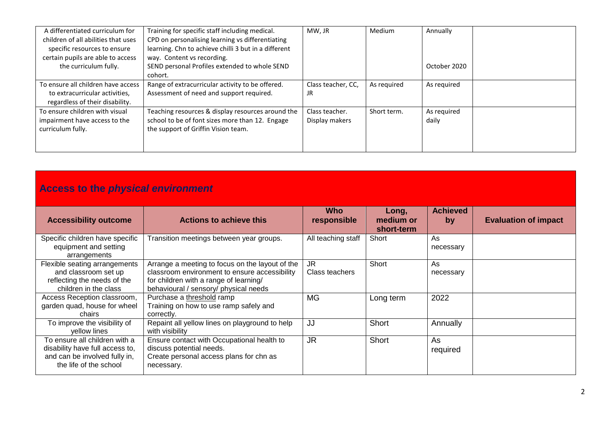| A differentiated curriculum for<br>children of all abilities that uses<br>specific resources to ensure<br>certain pupils are able to access<br>the curriculum fully. | Training for specific staff including medical.<br>CPD on personalising learning vs differentiating<br>learning. Chn to achieve chilli 3 but in a different<br>way. Content vs recording.<br>SEND personal Profiles extended to whole SEND<br>cohort. | MW, JR                           | Medium      | Annually<br>October 2020 |
|----------------------------------------------------------------------------------------------------------------------------------------------------------------------|------------------------------------------------------------------------------------------------------------------------------------------------------------------------------------------------------------------------------------------------------|----------------------------------|-------------|--------------------------|
| To ensure all children have access<br>to extracurricular activities,<br>regardless of their disability.                                                              | Range of extracurricular activity to be offered.<br>Assessment of need and support required.                                                                                                                                                         | Class teacher, CC,<br>JR         | As required | As required              |
| To ensure children with visual<br>impairment have access to the<br>curriculum fully.                                                                                 | Teaching resources & display resources around the<br>school to be of font sizes more than 12. Engage<br>the support of Griffin Vision team.                                                                                                          | Class teacher.<br>Display makers | Short term. | As required<br>daily     |

# **Access to the** *physical environment*

| <b>Accessibility outcome</b>                                                                                                | <b>Actions to achieve this</b>                                                                                                                                                      | <b>Who</b><br>responsible | Long,<br>medium or<br>short-term | <b>Achieved</b><br>by | <b>Evaluation of impact</b> |
|-----------------------------------------------------------------------------------------------------------------------------|-------------------------------------------------------------------------------------------------------------------------------------------------------------------------------------|---------------------------|----------------------------------|-----------------------|-----------------------------|
| Specific children have specific<br>equipment and setting<br>arrangements                                                    | Transition meetings between year groups.                                                                                                                                            | All teaching staff        | Short                            | As<br>necessary       |                             |
| Flexible seating arrangements<br>and classroom set up<br>reflecting the needs of the<br>children in the class               | Arrange a meeting to focus on the layout of the<br>classroom environment to ensure accessibility<br>for children with a range of learning/<br>behavioural / sensory/ physical needs | JR<br>Class teachers      | Short                            | As<br>necessary       |                             |
| Access Reception classroom,<br>garden quad, house for wheel<br>chairs                                                       | Purchase a threshold ramp<br>Training on how to use ramp safely and<br>correctly.                                                                                                   | <b>MG</b>                 | Long term                        | 2022                  |                             |
| To improve the visibility of<br>yellow lines                                                                                | Repaint all yellow lines on playground to help<br>with visibility                                                                                                                   | JJ                        | Short                            | Annually              |                             |
| To ensure all children with a<br>disability have full access to,<br>and can be involved fully in,<br>the life of the school | Ensure contact with Occupational health to<br>discuss potential needs.<br>Create personal access plans for chn as<br>necessary.                                                     | <b>JR</b>                 | Short                            | As<br>required        |                             |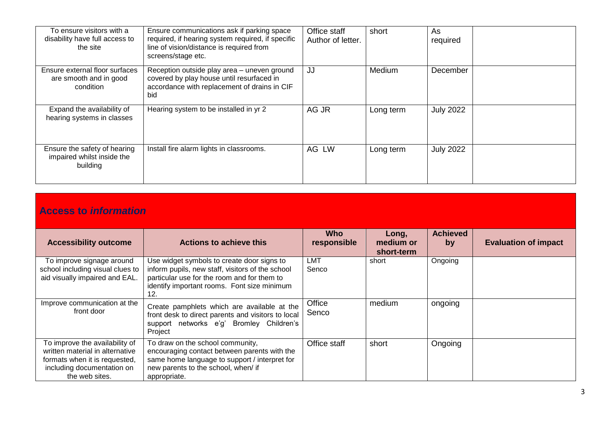| To ensure visitors with a<br>disability have full access to<br>the site | Ensure communications ask if parking space<br>required, if hearing system required, if specific<br>line of vision/distance is required from<br>screens/stage etc. | Office staff<br>Author of letter. | short     | As<br>required   |
|-------------------------------------------------------------------------|-------------------------------------------------------------------------------------------------------------------------------------------------------------------|-----------------------------------|-----------|------------------|
| Ensure external floor surfaces<br>are smooth and in good<br>condition   | Reception outside play area - uneven ground<br>covered by play house until resurfaced in<br>accordance with replacement of drains in CIF<br>bid                   | JJ                                | Medium    | December         |
| Expand the availability of<br>hearing systems in classes                | Hearing system to be installed in yr 2                                                                                                                            | AG JR                             | Long term | <b>July 2022</b> |
| Ensure the safety of hearing<br>impaired whilst inside the<br>building  | Install fire alarm lights in classrooms.                                                                                                                          | AG LW                             | Long term | <b>July 2022</b> |

## **Access to** *information*

| <b>Accessibility outcome</b>                                                                                                                       | <b>Actions to achieve this</b>                                                                                                                                                                      | <b>Who</b><br>responsible | Long,<br>medium or<br>short-term | <b>Achieved</b><br>by | <b>Evaluation of impact</b> |
|----------------------------------------------------------------------------------------------------------------------------------------------------|-----------------------------------------------------------------------------------------------------------------------------------------------------------------------------------------------------|---------------------------|----------------------------------|-----------------------|-----------------------------|
| To improve signage around<br>school including visual clues to<br>aid visually impaired and EAL.                                                    | Use widget symbols to create door signs to<br>inform pupils, new staff, visitors of the school<br>particular use for the room and for them to<br>identify important rooms. Font size minimum<br>12. | LMT<br>Senco              | short                            | Ongoing               |                             |
| Improve communication at the<br>front door                                                                                                         | Create pamphlets which are available at the<br>front desk to direct parents and visitors to local<br>support networks e'g' Bromley Children's<br>Project                                            | Office<br>Senco           | medium                           | ongoing               |                             |
| To improve the availability of<br>written material in alternative<br>formats when it is requested,<br>including documentation on<br>the web sites. | To draw on the school community,<br>encouraging contact between parents with the<br>same home language to support / interpret for<br>new parents to the school, when/ if<br>appropriate.            | Office staff              | short                            | Ongoing               |                             |